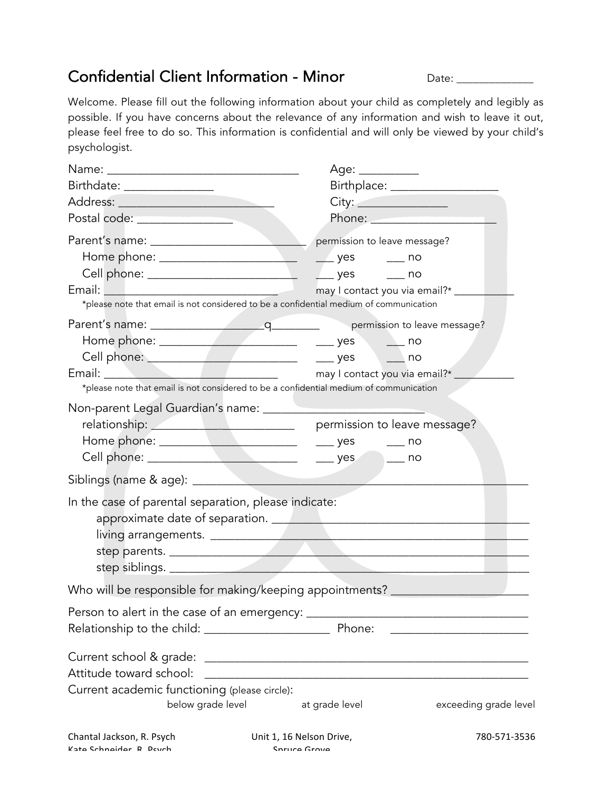## Confidential Client Information - Minor Date: Date:

Welcome. Please fill out the following information about your child as completely and legibly as possible. If you have concerns about the relevance of any information and wish to leave it out, please feel free to do so. This information is confidential and will only be viewed by your child's psychologist.

|                                                                                                                                   | Age: __________                                                                                                                                                                                                                      |
|-----------------------------------------------------------------------------------------------------------------------------------|--------------------------------------------------------------------------------------------------------------------------------------------------------------------------------------------------------------------------------------|
| Birthdate: _________________                                                                                                      |                                                                                                                                                                                                                                      |
|                                                                                                                                   | City:                                                                                                                                                                                                                                |
| Postal code: New York Postal Code:                                                                                                | Phone: <u>Andrea Barbara and Barbara and Barbara and Barbara and Barbara and Barbara and Barbara and Barbara and Barbara and Barbara and Barbara and Barbara and Barbara and Barbara and Barbara and Barbara and Barbara and Bar</u> |
|                                                                                                                                   |                                                                                                                                                                                                                                      |
| Home phone: ________________________                                                                                              | $\sqrt{ }$ yes $\sqrt{ }$ no                                                                                                                                                                                                         |
|                                                                                                                                   |                                                                                                                                                                                                                                      |
| Email: 2008 2009 2009 2010 2021 2022 2023 2024 2022 2022 2023 2024 2022 2023 2024 2022 2023 2024 2025 2026 20<br>and the contract | may I contact you via email?* _____                                                                                                                                                                                                  |
| *please note that email is not considered to be a confidential medium of communication                                            |                                                                                                                                                                                                                                      |
|                                                                                                                                   |                                                                                                                                                                                                                                      |
|                                                                                                                                   |                                                                                                                                                                                                                                      |
|                                                                                                                                   |                                                                                                                                                                                                                                      |
| Email: <u>Contact</u> you via email?*                                                                                             |                                                                                                                                                                                                                                      |
| *please note that email is not considered to be a confidential medium of communication                                            |                                                                                                                                                                                                                                      |
| Non-parent Legal Guardian's name: ________                                                                                        |                                                                                                                                                                                                                                      |
| relationship: <u>Andrew Barbon Barbon permission</u> to leave message?                                                            |                                                                                                                                                                                                                                      |
|                                                                                                                                   | $\rule{1em}{0.15mm}$ yes $\rule{1em}{0.15mm}$ no                                                                                                                                                                                     |
|                                                                                                                                   |                                                                                                                                                                                                                                      |
|                                                                                                                                   |                                                                                                                                                                                                                                      |
| In the case of parental separation, please indicate:                                                                              |                                                                                                                                                                                                                                      |
|                                                                                                                                   |                                                                                                                                                                                                                                      |
|                                                                                                                                   | step parents.                                                                                                                                                                                                                        |
|                                                                                                                                   |                                                                                                                                                                                                                                      |
| Who will be responsible for making/keeping appointments? _______                                                                  |                                                                                                                                                                                                                                      |
| Person to alert in the case of an emergency: _____________                                                                        | <u> 1989 - Johann Barn, mars an t-Amerikaansk politiker (</u>                                                                                                                                                                        |
|                                                                                                                                   | <u> 1989 - Johann John Harry Harry Harry Harry Harry Harry Harry Harry Harry Harry Harry Harry Harry Harry Harry H</u>                                                                                                               |
| Current school & grade:                                                                                                           |                                                                                                                                                                                                                                      |
| Attitude toward school:                                                                                                           | <u> 1989 - Johann Harry Harry Harry Harry Harry Harry Harry Harry Harry Harry Harry Harry Harry Harry Harry Harry</u>                                                                                                                |
| Current academic functioning (please circle):                                                                                     |                                                                                                                                                                                                                                      |
| below grade level                                                                                                                 | at grade level<br>exceeding grade level                                                                                                                                                                                              |